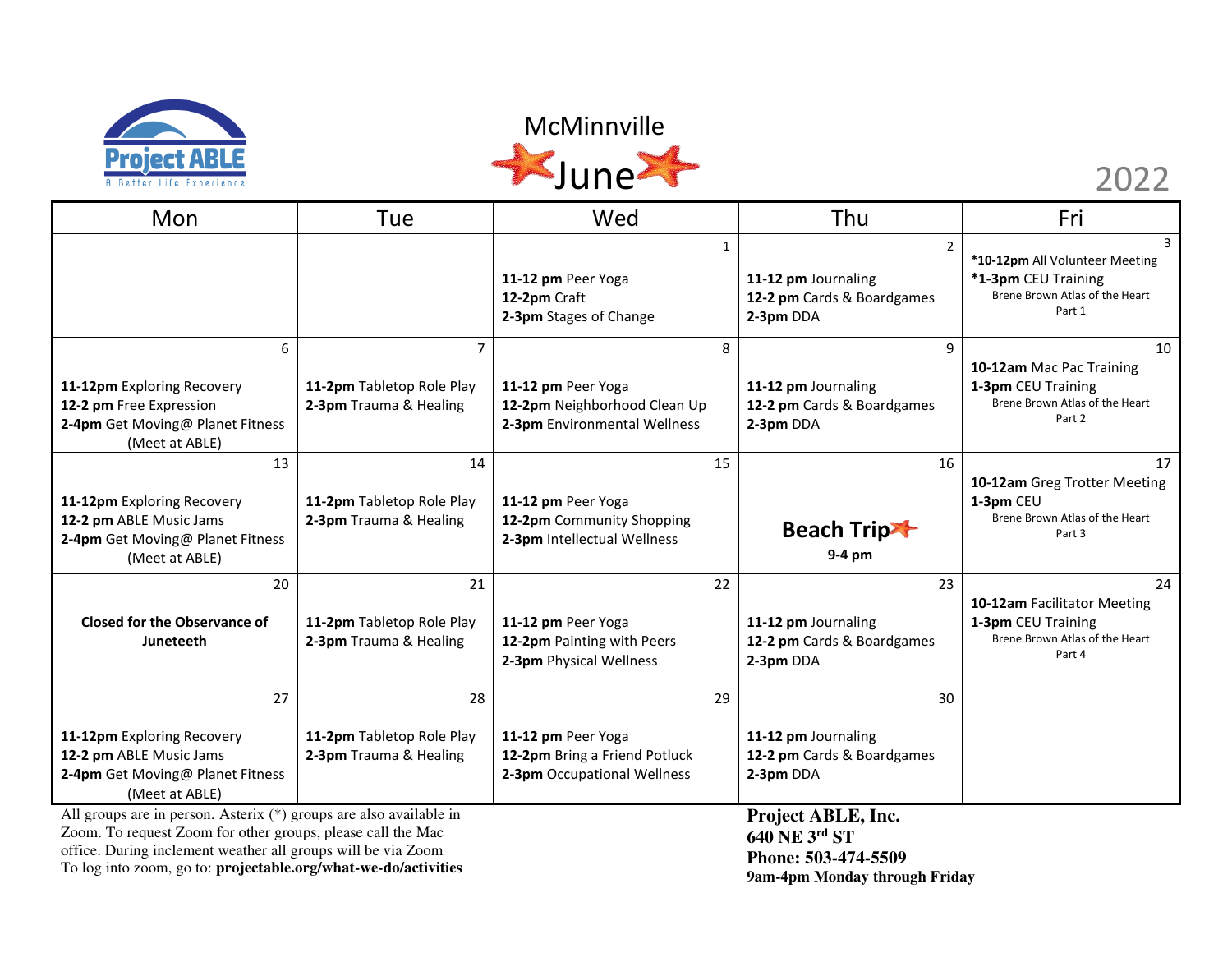

### McMinnville This



| Mon                                                                                                                               | Tue                                                       | Wed                                                                                      | Thu                                                                              | Fri                                                                                                    |
|-----------------------------------------------------------------------------------------------------------------------------------|-----------------------------------------------------------|------------------------------------------------------------------------------------------|----------------------------------------------------------------------------------|--------------------------------------------------------------------------------------------------------|
|                                                                                                                                   |                                                           | $\mathbf{1}$<br>11-12 pm Peer Yoga<br>12-2pm Craft<br>2-3pm Stages of Change             | $\overline{2}$<br>11-12 pm Journaling<br>12-2 pm Cards & Boardgames<br>2-3pm DDA | 3<br>*10-12pm All Volunteer Meeting<br>*1-3pm CEU Training<br>Brene Brown Atlas of the Heart<br>Part 1 |
| 6<br>11-12pm Exploring Recovery<br>12-2 pm Free Expression<br>2-4pm Get Moving@ Planet Fitness<br>(Meet at ABLE)                  | 7<br>11-2pm Tabletop Role Play<br>2-3pm Trauma & Healing  | 8<br>11-12 pm Peer Yoga<br>12-2pm Neighborhood Clean Up<br>2-3pm Environmental Wellness  | 9<br>11-12 pm Journaling<br>12-2 pm Cards & Boardgames<br>2-3pm DDA              | 10<br>10-12am Mac Pac Training<br>1-3pm CEU Training<br>Brene Brown Atlas of the Heart<br>Part 2       |
| 13<br>11-12pm Exploring Recovery<br>12-2 pm ABLE Music Jams<br>2-4pm Get Moving@ Planet Fitness<br>(Meet at ABLE)                 | 14<br>11-2pm Tabletop Role Play<br>2-3pm Trauma & Healing | 15<br>11-12 pm Peer Yoga<br>12-2pm Community Shopping<br>2-3pm Intellectual Wellness     | 16<br><b>Beach Trip-</b><br>9-4 pm                                               | 17<br>10-12am Greg Trotter Meeting<br>1-3pm CEU<br>Brene Brown Atlas of the Heart<br>Part 3            |
| 20<br><b>Closed for the Observance of</b><br>Juneteeth                                                                            | 21<br>11-2pm Tabletop Role Play<br>2-3pm Trauma & Healing | 22<br>11-12 pm Peer Yoga<br>12-2pm Painting with Peers<br>2-3pm Physical Wellness        | 23<br>11-12 pm Journaling<br>12-2 pm Cards & Boardgames<br>2-3pm DDA             | 24<br>10-12am Facilitator Meeting<br>1-3pm CEU Training<br>Brene Brown Atlas of the Heart<br>Part 4    |
| 27<br>11-12pm Exploring Recovery<br>12-2 pm ABLE Music Jams<br>2-4pm Get Moving@ Planet Fitness<br>(Meet at ABLE)                 | 28<br>11-2pm Tabletop Role Play<br>2-3pm Trauma & Healing | 29<br>11-12 pm Peer Yoga<br>12-2pm Bring a Friend Potluck<br>2-3pm Occupational Wellness | 30<br>11-12 pm Journaling<br>12-2 pm Cards & Boardgames<br>2-3pm DDA             |                                                                                                        |
| All groups are in person. Asterix (*) groups are also available in<br>Zoom. To request Zoom for other groups, please call the Mac |                                                           |                                                                                          | Project ABLE, Inc.<br>640 NE 3rd ST                                              |                                                                                                        |

office. During inclement weather all groups will be via Zoom

To log into zoom, go to: **projectable.org/what-we-do/activities** 

**640 NE 3rd ST Phone: 503-474-5509 9am-4pm Monday through Friday**